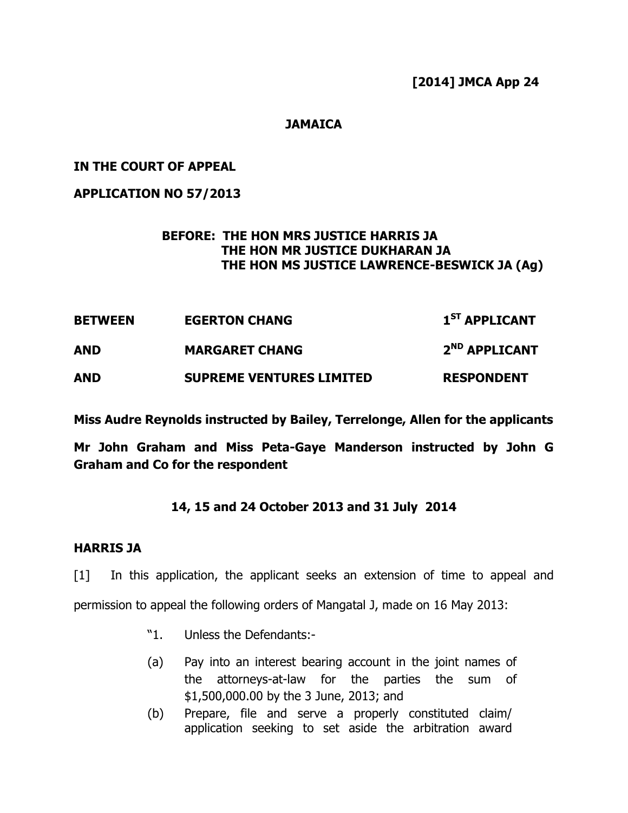[2014] JMCA App 24

## **JAMAICA**

## IN THE COURT OF APPEAL

## APPLICATION NO 57/2013

# BEFORE: THE HON MRS JUSTICE HARRIS JA THE HON MR JUSTICE DUKHARAN JA THE HON MS JUSTICE LAWRENCE-BESWICK JA (Ag)

| <b>BETWEEN</b><br><b>AND</b> | <b>EGERTON CHANG</b>            | 1 <sup>ST</sup> APPLICANT |
|------------------------------|---------------------------------|---------------------------|
|                              | <b>MARGARET CHANG</b>           | 2 <sup>ND</sup> APPLICANT |
| <b>AND</b>                   | <b>SUPREME VENTURES LIMITED</b> | <b>RESPONDENT</b>         |

Miss Audre Reynolds instructed by Bailey, Terrelonge, Allen for the applicants

Mr John Graham and Miss Peta-Gaye Manderson instructed by John G Graham and Co for the respondent

# 14, 15 and 24 October 2013 and 31 July 2014

## HARRIS JA

[1] In this application, the applicant seeks an extension of time to appeal and permission to appeal the following orders of Mangatal J, made on 16 May 2013:

- "1. Unless the Defendants:-
- (a) Pay into an interest bearing account in the joint names of the attorneys-at-law for the parties the sum of \$1,500,000.00 by the 3 June, 2013; and
- (b) Prepare, file and serve a properly constituted claim/ application seeking to set aside the arbitration award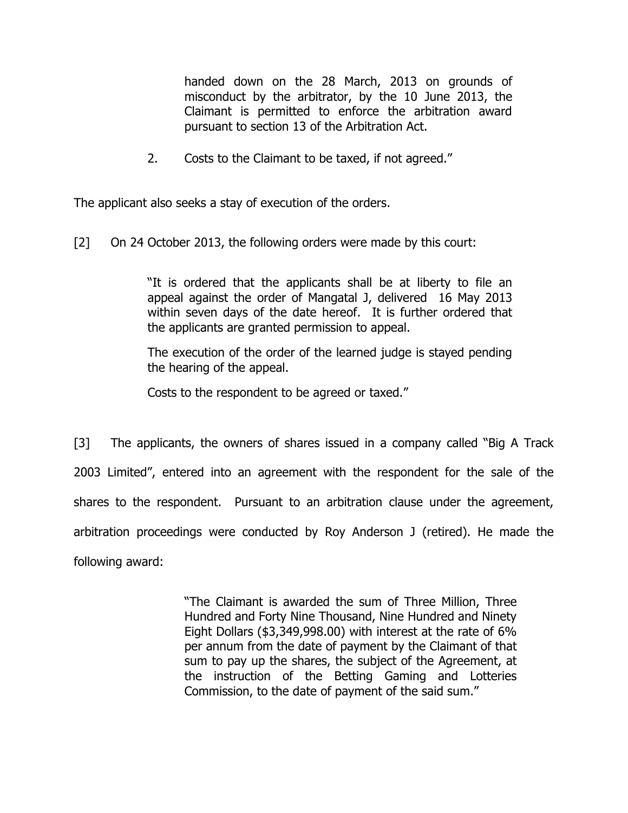handed down on the 28 March, 2013 on grounds of misconduct by the arbitrator, by the 10 June 2013, the Claimant is permitted to enforce the arbitration award pursuant to section 13 of the Arbitration Act.

2. Costs to the Claimant to be taxed, if not agreed."

The applicant also seeks a stay of execution of the orders.

[2] On 24 October 2013, the following orders were made by this court:

"It is ordered that the applicants shall be at liberty to file an appeal against the order of Mangatal J, delivered 16 May 2013 within seven days of the date hereof. It is further ordered that the applicants are granted permission to appeal.

The execution of the order of the learned judge is stayed pending the hearing of the appeal.

Costs to the respondent to be agreed or taxed."

[3] The applicants, the owners of shares issued in a company called "Big A Track 2003 Limited", entered into an agreement with the respondent for the sale of the shares to the respondent. Pursuant to an arbitration clause under the agreement, arbitration proceedings were conducted by Roy Anderson J (retired). He made the following award:

> "The Claimant is awarded the sum of Three Million, Three Hundred and Forty Nine Thousand, Nine Hundred and Ninety Eight Dollars (\$3,349,998.00) with interest at the rate of 6% per annum from the date of payment by the Claimant of that sum to pay up the shares, the subject of the Agreement, at the instruction of the Betting Gaming and Lotteries Commission, to the date of payment of the said sum."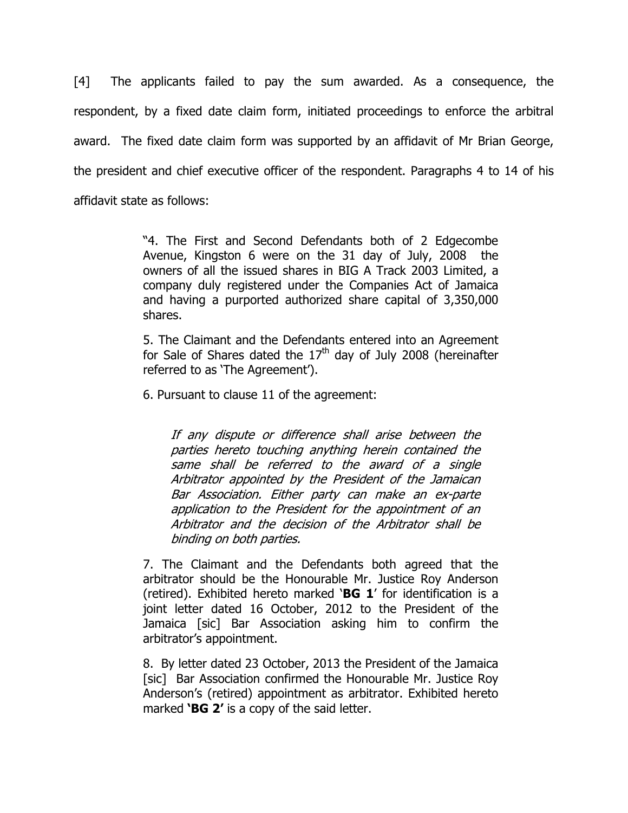[4] The applicants failed to pay the sum awarded. As a consequence, the respondent, by a fixed date claim form, initiated proceedings to enforce the arbitral award. The fixed date claim form was supported by an affidavit of Mr Brian George, the president and chief executive officer of the respondent. Paragraphs 4 to 14 of his affidavit state as follows:

> "4. The First and Second Defendants both of 2 Edgecombe Avenue, Kingston 6 were on the 31 day of July, 2008 the owners of all the issued shares in BIG A Track 2003 Limited, a company duly registered under the Companies Act of Jamaica and having a purported authorized share capital of 3,350,000 shares.

> 5. The Claimant and the Defendants entered into an Agreement for Sale of Shares dated the  $17<sup>th</sup>$  day of July 2008 (hereinafter referred to as 'The Agreement').

6. Pursuant to clause 11 of the agreement:

If any dispute or difference shall arise between the parties hereto touching anything herein contained the same shall be referred to the award of a single Arbitrator appointed by the President of the Jamaican Bar Association. Either party can make an ex-parte application to the President for the appointment of an Arbitrator and the decision of the Arbitrator shall be binding on both parties.

7. The Claimant and the Defendants both agreed that the arbitrator should be the Honourable Mr. Justice Roy Anderson (retired). Exhibited hereto marked 'BG 1' for identification is a joint letter dated 16 October, 2012 to the President of the Jamaica [sic] Bar Association asking him to confirm the arbitrator's appointment.

8. By letter dated 23 October, 2013 the President of the Jamaica [sic] Bar Association confirmed the Honourable Mr. Justice Roy Anderson's (retired) appointment as arbitrator. Exhibited hereto marked 'BG 2' is a copy of the said letter.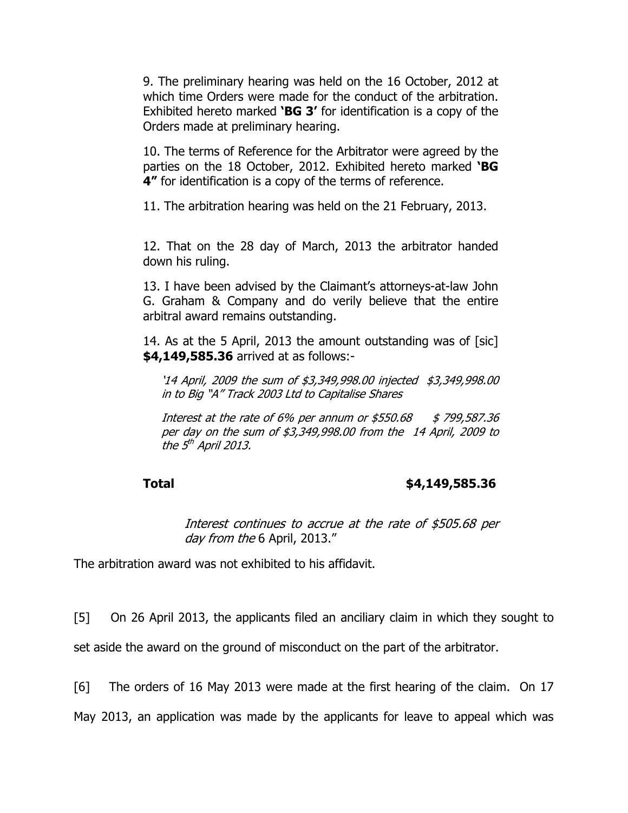9. The preliminary hearing was held on the 16 October, 2012 at which time Orders were made for the conduct of the arbitration. Exhibited hereto marked 'BG 3' for identification is a copy of the Orders made at preliminary hearing.

10. The terms of Reference for the Arbitrator were agreed by the parties on the 18 October, 2012. Exhibited hereto marked 'BG 4" for identification is a copy of the terms of reference.

11. The arbitration hearing was held on the 21 February, 2013.

12. That on the 28 day of March, 2013 the arbitrator handed down his ruling.

13. I have been advised by the Claimant's attorneys-at-law John G. Graham & Company and do verily believe that the entire arbitral award remains outstanding.

14. As at the 5 April, 2013 the amount outstanding was of [sic] \$4,149,585.36 arrived at as follows:-

'14 April, 2009 the sum of \$3,349,998.00 injected \$3,349,998.00 in to Big "A" Track 2003 Ltd to Capitalise Shares

Interest at the rate of 6% per annum or  $$550.68$   $$799,587.36$ per day on the sum of \$3,349,998.00 from the 14 April, 2009 to the 5<sup>th</sup> April 2013.

### Total \$4,149,585.36

Interest continues to accrue at the rate of \$505.68 per day from the 6 April, 2013."

The arbitration award was not exhibited to his affidavit.

[5] On 26 April 2013, the applicants filed an anciliary claim in which they sought to

set aside the award on the ground of misconduct on the part of the arbitrator.

[6] The orders of 16 May 2013 were made at the first hearing of the claim. On 17

May 2013, an application was made by the applicants for leave to appeal which was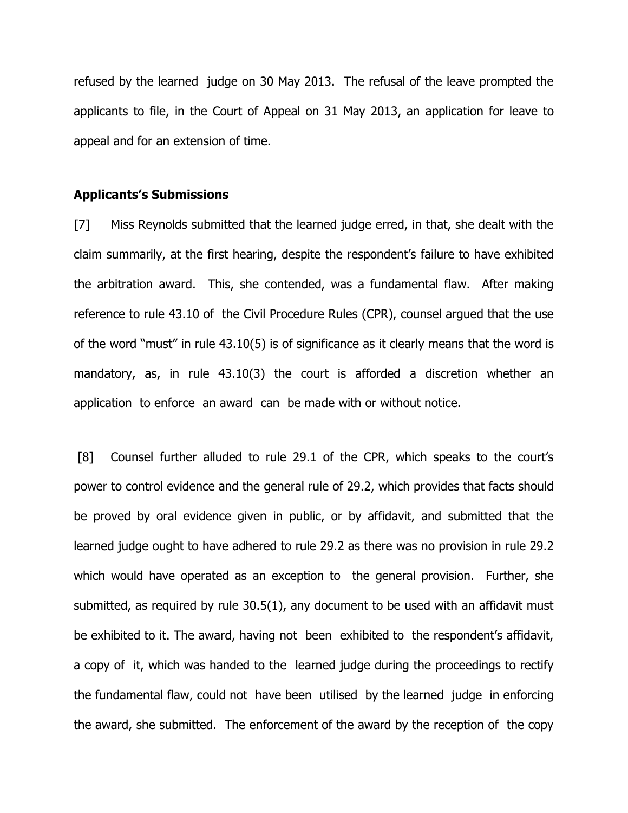refused by the learned judge on 30 May 2013. The refusal of the leave prompted the applicants to file, in the Court of Appeal on 31 May 2013, an application for leave to appeal and for an extension of time.

### Applicants's Submissions

[7] Miss Reynolds submitted that the learned judge erred, in that, she dealt with the claim summarily, at the first hearing, despite the respondent's failure to have exhibited the arbitration award. This, she contended, was a fundamental flaw. After making reference to rule 43.10 of the Civil Procedure Rules (CPR), counsel argued that the use of the word "must" in rule 43.10(5) is of significance as it clearly means that the word is mandatory, as, in rule 43.10(3) the court is afforded a discretion whether an application to enforce an award can be made with or without notice.

 [8] Counsel further alluded to rule 29.1 of the CPR, which speaks to the court's power to control evidence and the general rule of 29.2, which provides that facts should be proved by oral evidence given in public, or by affidavit, and submitted that the learned judge ought to have adhered to rule 29.2 as there was no provision in rule 29.2 which would have operated as an exception to the general provision. Further, she submitted, as required by rule 30.5(1), any document to be used with an affidavit must be exhibited to it. The award, having not been exhibited to the respondent's affidavit, a copy of it, which was handed to the learned judge during the proceedings to rectify the fundamental flaw, could not have been utilised by the learned judge in enforcing the award, she submitted. The enforcement of the award by the reception of the copy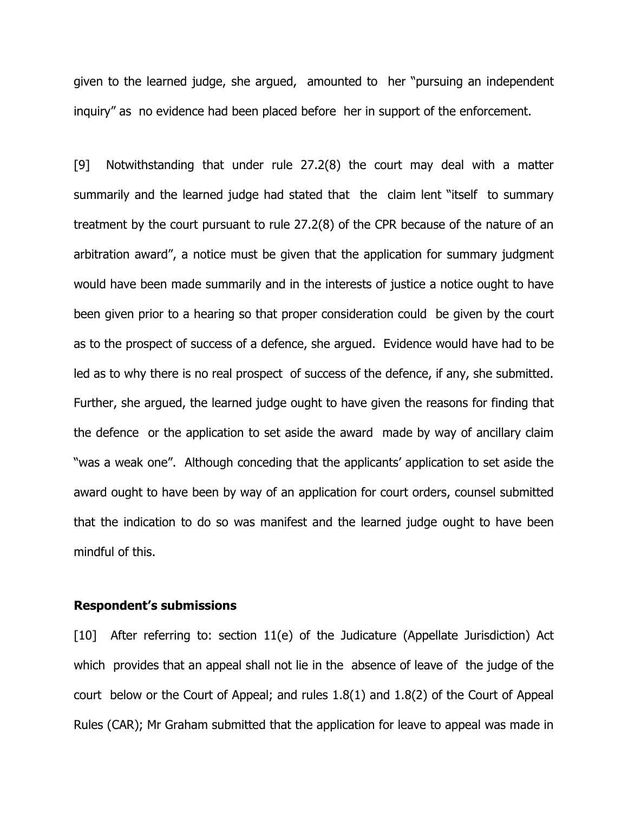given to the learned judge, she argued, amounted to her "pursuing an independent inquiry" as no evidence had been placed before her in support of the enforcement.

[9] Notwithstanding that under rule 27.2(8) the court may deal with a matter summarily and the learned judge had stated that the claim lent "itself to summary treatment by the court pursuant to rule 27.2(8) of the CPR because of the nature of an arbitration award", a notice must be given that the application for summary judgment would have been made summarily and in the interests of justice a notice ought to have been given prior to a hearing so that proper consideration could be given by the court as to the prospect of success of a defence, she argued. Evidence would have had to be led as to why there is no real prospect of success of the defence, if any, she submitted. Further, she argued, the learned judge ought to have given the reasons for finding that the defence or the application to set aside the award made by way of ancillary claim "was a weak one". Although conceding that the applicants' application to set aside the award ought to have been by way of an application for court orders, counsel submitted that the indication to do so was manifest and the learned judge ought to have been mindful of this.

### Respondent's submissions

[10] After referring to: section 11(e) of the Judicature (Appellate Jurisdiction) Act which provides that an appeal shall not lie in the absence of leave of the judge of the court below or the Court of Appeal; and rules 1.8(1) and 1.8(2) of the Court of Appeal Rules (CAR); Mr Graham submitted that the application for leave to appeal was made in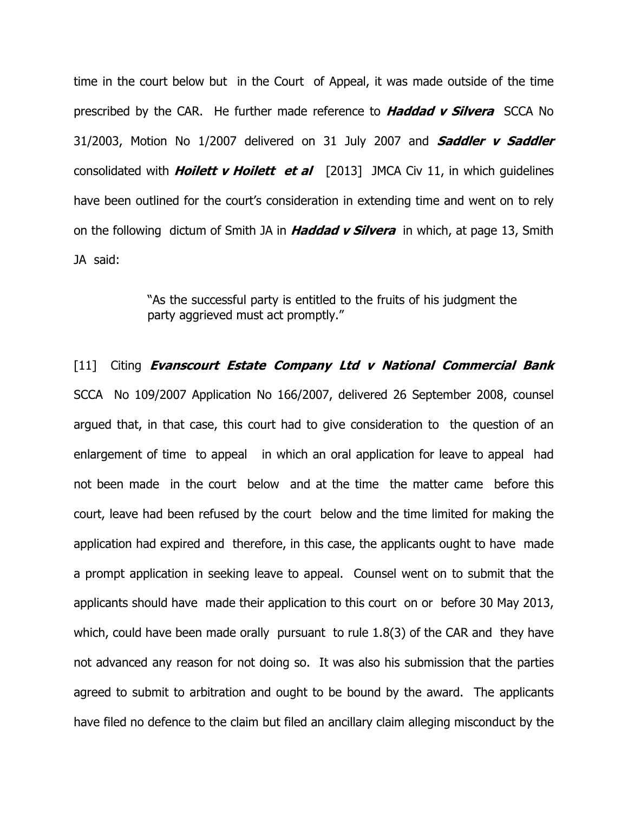time in the court below but in the Court of Appeal, it was made outside of the time prescribed by the CAR. He further made reference to **Haddad v Silvera** SCCA No 31/2003, Motion No  $1/2007$  delivered on 31 July 2007 and **Saddler v Saddler** consolidated with **Hoilett v Hoilett et al**  $[2013]$  JMCA Civ 11, in which guidelines have been outlined for the court's consideration in extending time and went on to rely on the following dictum of Smith JA in Haddad v Silvera in which, at page 13, Smith JA said:

> "As the successful party is entitled to the fruits of his judgment the party aggrieved must act promptly."

[11] Citing Evanscourt Estate Company Ltd v National Commercial Bank SCCA No 109/2007 Application No 166/2007, delivered 26 September 2008, counsel argued that, in that case, this court had to give consideration to the question of an enlargement of time to appeal in which an oral application for leave to appeal had not been made in the court below and at the time the matter came before this court, leave had been refused by the court below and the time limited for making the application had expired and therefore, in this case, the applicants ought to have made a prompt application in seeking leave to appeal. Counsel went on to submit that the applicants should have made their application to this court on or before 30 May 2013, which, could have been made orally pursuant to rule 1.8(3) of the CAR and they have not advanced any reason for not doing so. It was also his submission that the parties agreed to submit to arbitration and ought to be bound by the award. The applicants have filed no defence to the claim but filed an ancillary claim alleging misconduct by the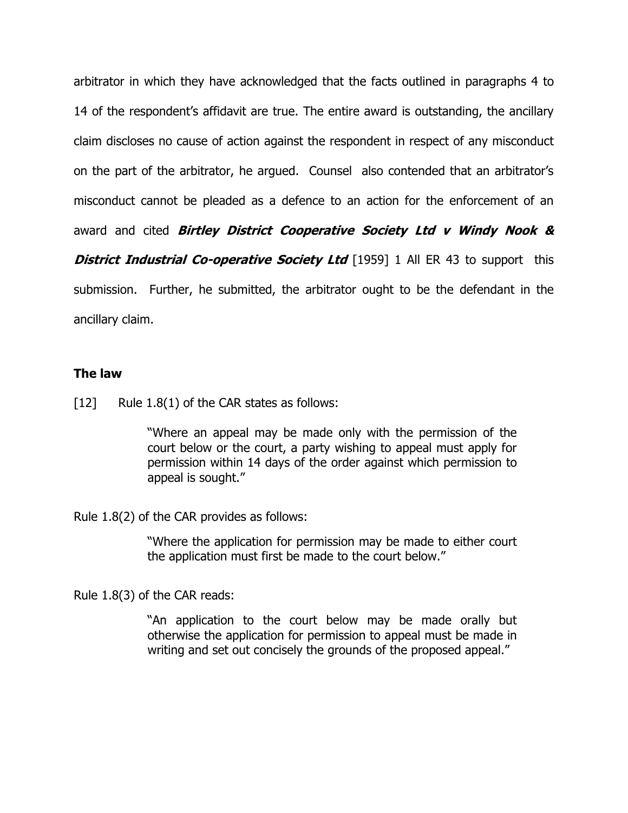arbitrator in which they have acknowledged that the facts outlined in paragraphs 4 to 14 of the respondent's affidavit are true. The entire award is outstanding, the ancillary claim discloses no cause of action against the respondent in respect of any misconduct on the part of the arbitrator, he argued. Counsel also contended that an arbitrator's misconduct cannot be pleaded as a defence to an action for the enforcement of an award and cited Birtley District Cooperative Society Ltd v Windy Nook & **District Industrial Co-operative Society Ltd** [1959] 1 All ER 43 to support this submission. Further, he submitted, the arbitrator ought to be the defendant in the ancillary claim.

## The law

[12] Rule 1.8(1) of the CAR states as follows:

"Where an appeal may be made only with the permission of the court below or the court, a party wishing to appeal must apply for permission within 14 days of the order against which permission to appeal is sought."

Rule 1.8(2) of the CAR provides as follows:

"Where the application for permission may be made to either court the application must first be made to the court below."

Rule 1.8(3) of the CAR reads:

"An application to the court below may be made orally but otherwise the application for permission to appeal must be made in writing and set out concisely the grounds of the proposed appeal."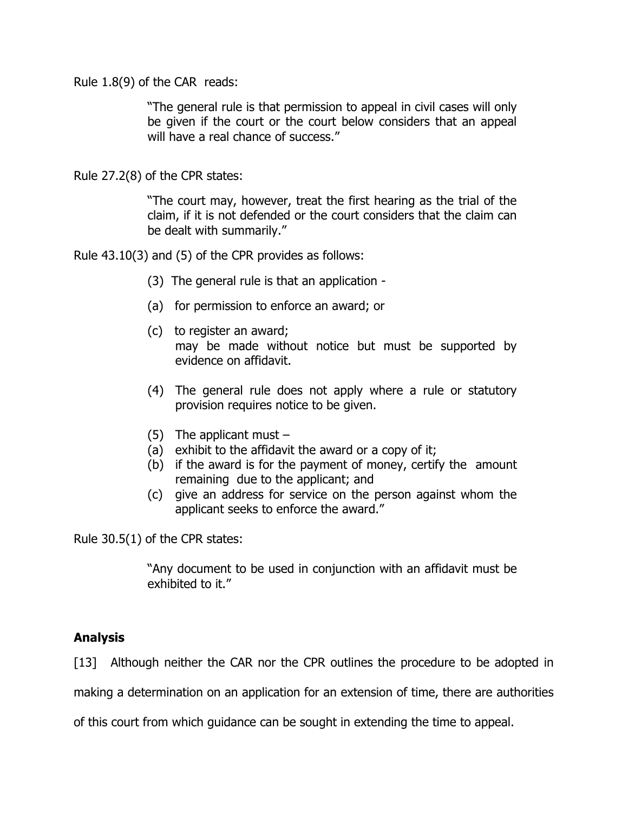Rule 1.8(9) of the CAR reads:

"The general rule is that permission to appeal in civil cases will only be given if the court or the court below considers that an appeal will have a real chance of success."

Rule 27.2(8) of the CPR states:

"The court may, however, treat the first hearing as the trial of the claim, if it is not defended or the court considers that the claim can be dealt with summarily."

Rule 43.10(3) and (5) of the CPR provides as follows:

- (3) The general rule is that an application -
- (a) for permission to enforce an award; or
- (c) to register an award; may be made without notice but must be supported by evidence on affidavit.
- (4) The general rule does not apply where a rule or statutory provision requires notice to be given.
- (5) The applicant must  $-$
- (a) exhibit to the affidavit the award or a copy of it;
- (b) if the award is for the payment of money, certify the amount remaining due to the applicant; and
- (c) give an address for service on the person against whom the applicant seeks to enforce the award."

Rule 30.5(1) of the CPR states:

"Any document to be used in conjunction with an affidavit must be exhibited to it."

# Analysis

[13] Although neither the CAR nor the CPR outlines the procedure to be adopted in

making a determination on an application for an extension of time, there are authorities

of this court from which guidance can be sought in extending the time to appeal.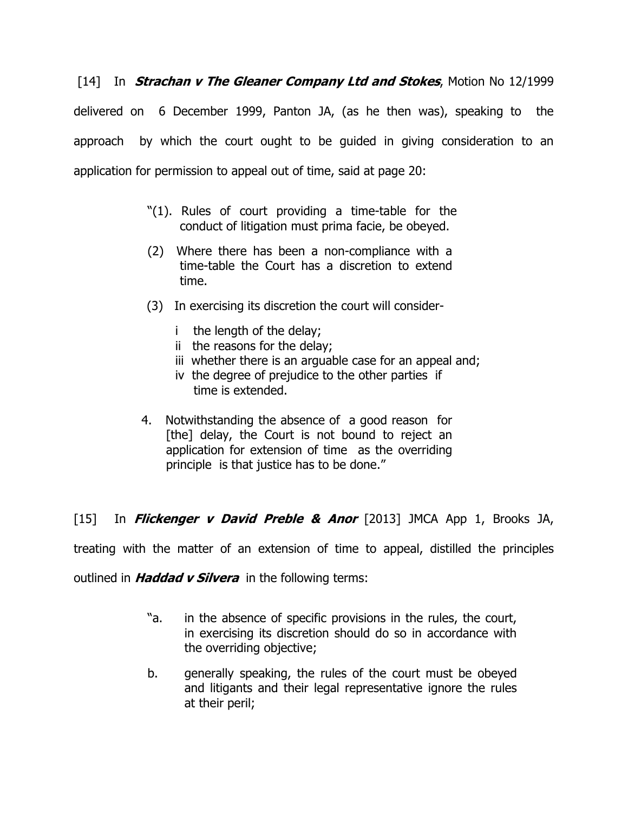[14] In **Strachan v The Gleaner Company Ltd and Stokes**, Motion No 12/1999 delivered on 6 December 1999, Panton JA, (as he then was), speaking to the approach by which the court ought to be guided in giving consideration to an application for permission to appeal out of time, said at page 20:

- "(1). Rules of court providing a time-table for the conduct of litigation must prima facie, be obeyed.
- (2) Where there has been a non-compliance with a time-table the Court has a discretion to extend time.
- (3) In exercising its discretion the court will consider
	- i the length of the delay;
	- ii the reasons for the delay;
	- iii whether there is an arguable case for an appeal and;
	- iv the degree of prejudice to the other parties if time is extended.
- 4. Notwithstanding the absence of a good reason for [the] delay, the Court is not bound to reject an application for extension of time as the overriding principle is that justice has to be done."

[15] In **Flickenger v David Preble & Anor** [2013] JMCA App 1, Brooks JA,

treating with the matter of an extension of time to appeal, distilled the principles

outlined in **Haddad v Silvera** in the following terms:

- "a. in the absence of specific provisions in the rules, the court, in exercising its discretion should do so in accordance with the overriding objective;
- b. generally speaking, the rules of the court must be obeyed and litigants and their legal representative ignore the rules at their peril;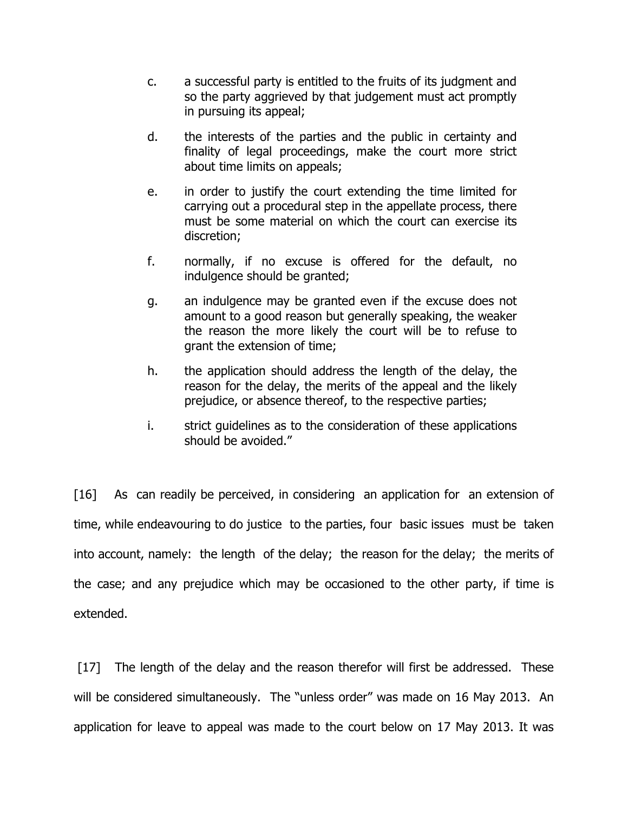- c. a successful party is entitled to the fruits of its judgment and so the party aggrieved by that judgement must act promptly in pursuing its appeal;
- d. the interests of the parties and the public in certainty and finality of legal proceedings, make the court more strict about time limits on appeals;
- e. in order to justify the court extending the time limited for carrying out a procedural step in the appellate process, there must be some material on which the court can exercise its discretion;
- f. normally, if no excuse is offered for the default, no indulgence should be granted;
- g. an indulgence may be granted even if the excuse does not amount to a good reason but generally speaking, the weaker the reason the more likely the court will be to refuse to grant the extension of time;
- h. the application should address the length of the delay, the reason for the delay, the merits of the appeal and the likely prejudice, or absence thereof, to the respective parties;
- i. strict guidelines as to the consideration of these applications should be avoided."

[16] As can readily be perceived, in considering an application for an extension of time, while endeavouring to do justice to the parties, four basic issues must be taken into account, namely: the length of the delay; the reason for the delay; the merits of the case; and any prejudice which may be occasioned to the other party, if time is extended.

[17] The length of the delay and the reason therefor will first be addressed. These will be considered simultaneously. The "unless order" was made on 16 May 2013. An application for leave to appeal was made to the court below on 17 May 2013. It was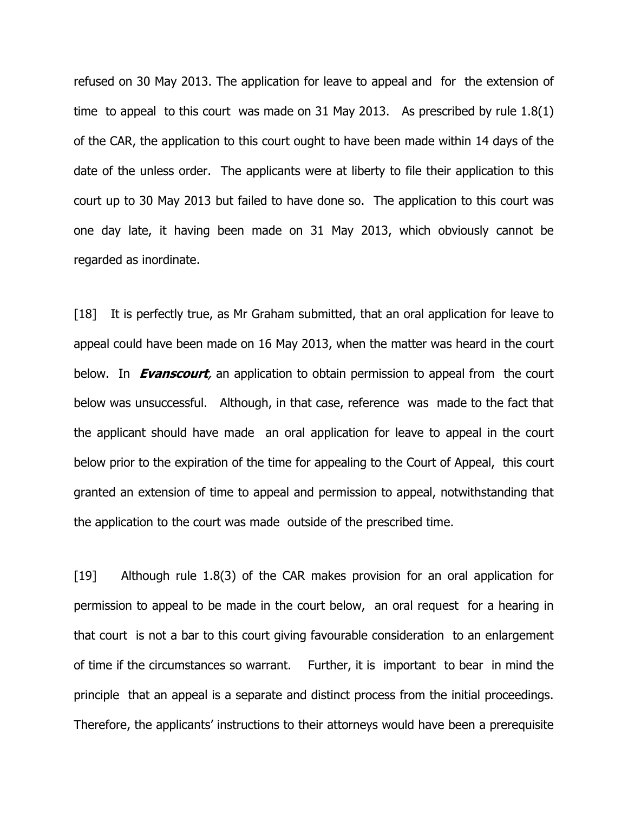refused on 30 May 2013. The application for leave to appeal and for the extension of time to appeal to this court was made on 31 May 2013. As prescribed by rule 1.8(1) of the CAR, the application to this court ought to have been made within 14 days of the date of the unless order. The applicants were at liberty to file their application to this court up to 30 May 2013 but failed to have done so. The application to this court was one day late, it having been made on 31 May 2013, which obviously cannot be regarded as inordinate.

[18] It is perfectly true, as Mr Graham submitted, that an oral application for leave to appeal could have been made on 16 May 2013, when the matter was heard in the court below. In **Evanscourt**, an application to obtain permission to appeal from the court below was unsuccessful. Although, in that case, reference was made to the fact that the applicant should have made an oral application for leave to appeal in the court below prior to the expiration of the time for appealing to the Court of Appeal, this court granted an extension of time to appeal and permission to appeal, notwithstanding that the application to the court was made outside of the prescribed time.

[19] Although rule 1.8(3) of the CAR makes provision for an oral application for permission to appeal to be made in the court below, an oral request for a hearing in that court is not a bar to this court giving favourable consideration to an enlargement of time if the circumstances so warrant. Further, it is important to bear in mind the principle that an appeal is a separate and distinct process from the initial proceedings. Therefore, the applicants' instructions to their attorneys would have been a prerequisite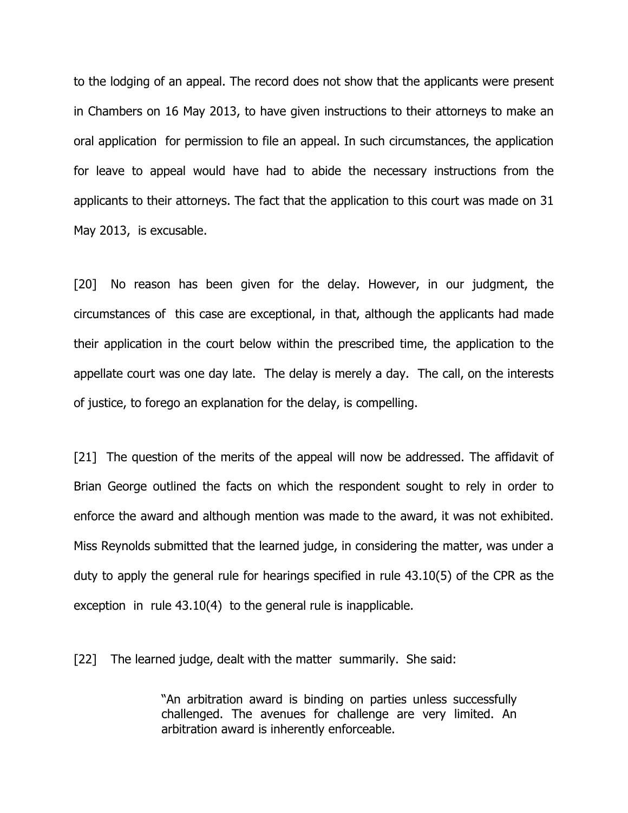to the lodging of an appeal. The record does not show that the applicants were present in Chambers on 16 May 2013, to have given instructions to their attorneys to make an oral application for permission to file an appeal. In such circumstances, the application for leave to appeal would have had to abide the necessary instructions from the applicants to their attorneys. The fact that the application to this court was made on 31 May 2013, is excusable.

[20] No reason has been given for the delay. However, in our judgment, the circumstances of this case are exceptional, in that, although the applicants had made their application in the court below within the prescribed time, the application to the appellate court was one day late. The delay is merely a day. The call, on the interests of justice, to forego an explanation for the delay, is compelling.

[21] The question of the merits of the appeal will now be addressed. The affidavit of Brian George outlined the facts on which the respondent sought to rely in order to enforce the award and although mention was made to the award, it was not exhibited. Miss Reynolds submitted that the learned judge, in considering the matter, was under a duty to apply the general rule for hearings specified in rule 43.10(5) of the CPR as the exception in rule 43.10(4) to the general rule is inapplicable.

[22] The learned judge, dealt with the matter summarily. She said:

"An arbitration award is binding on parties unless successfully challenged. The avenues for challenge are very limited. An arbitration award is inherently enforceable.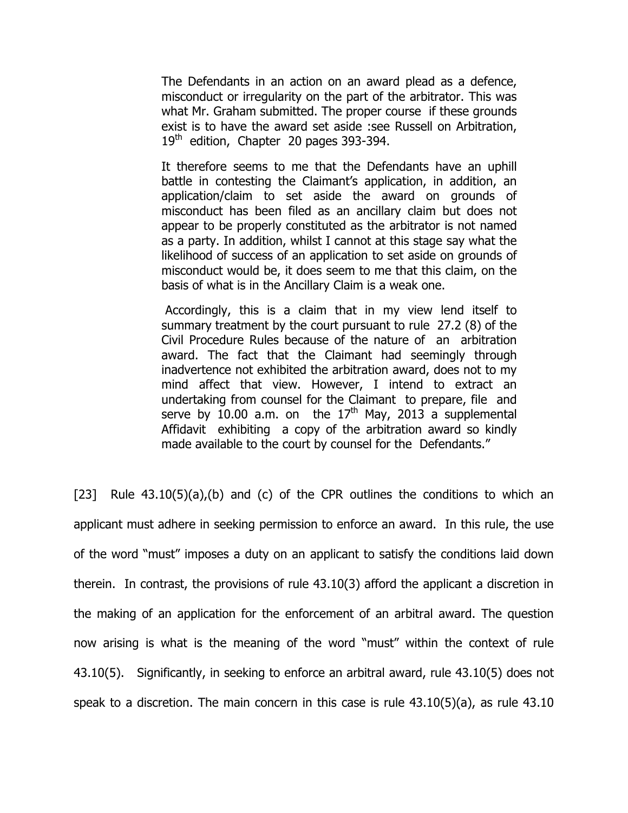The Defendants in an action on an award plead as a defence, misconduct or irregularity on the part of the arbitrator. This was what Mr. Graham submitted. The proper course if these grounds exist is to have the award set aside :see Russell on Arbitration,  $19<sup>th</sup>$  edition, Chapter 20 pages 393-394.

It therefore seems to me that the Defendants have an uphill battle in contesting the Claimant's application, in addition, an application/claim to set aside the award on grounds of misconduct has been filed as an ancillary claim but does not appear to be properly constituted as the arbitrator is not named as a party. In addition, whilst I cannot at this stage say what the likelihood of success of an application to set aside on grounds of misconduct would be, it does seem to me that this claim, on the basis of what is in the Ancillary Claim is a weak one.

 Accordingly, this is a claim that in my view lend itself to summary treatment by the court pursuant to rule 27.2 (8) of the Civil Procedure Rules because of the nature of an arbitration award. The fact that the Claimant had seemingly through inadvertence not exhibited the arbitration award, does not to my mind affect that view. However, I intend to extract an undertaking from counsel for the Claimant to prepare, file and serve by 10.00 a.m. on the  $17<sup>th</sup>$  May, 2013 a supplemental Affidavit exhibiting a copy of the arbitration award so kindly made available to the court by counsel for the Defendants."

[23] Rule  $43.10(5)(a)$ , (b) and (c) of the CPR outlines the conditions to which an applicant must adhere in seeking permission to enforce an award. In this rule, the use of the word "must" imposes a duty on an applicant to satisfy the conditions laid down therein. In contrast, the provisions of rule 43.10(3) afford the applicant a discretion in the making of an application for the enforcement of an arbitral award. The question now arising is what is the meaning of the word "must" within the context of rule 43.10(5). Significantly, in seeking to enforce an arbitral award, rule 43.10(5) does not speak to a discretion. The main concern in this case is rule 43.10(5)(a), as rule 43.10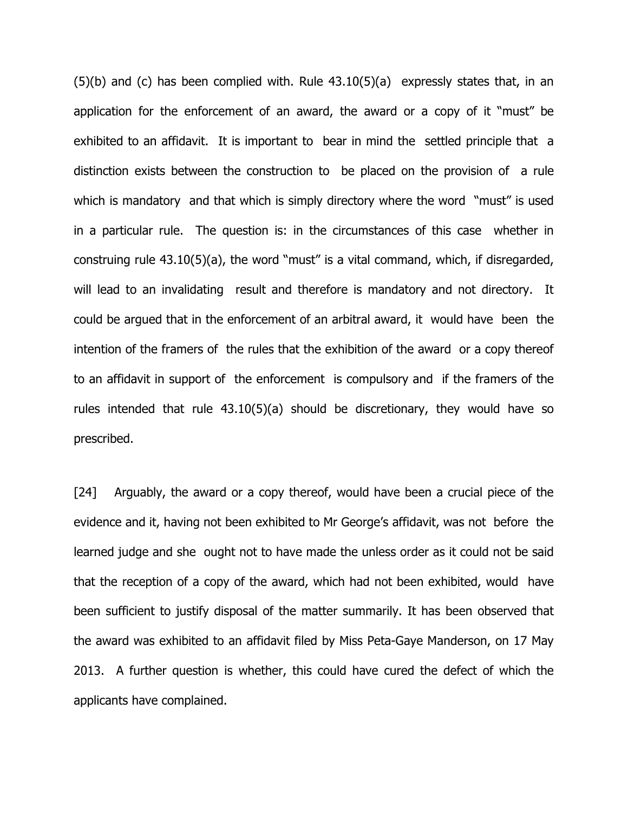(5)(b) and (c) has been complied with. Rule 43.10(5)(a) expressly states that, in an application for the enforcement of an award, the award or a copy of it "must" be exhibited to an affidavit. It is important to bear in mind the settled principle that a distinction exists between the construction to be placed on the provision of a rule which is mandatory and that which is simply directory where the word "must" is used in a particular rule. The question is: in the circumstances of this case whether in construing rule 43.10(5)(a), the word "must" is a vital command, which, if disregarded, will lead to an invalidating result and therefore is mandatory and not directory. It could be argued that in the enforcement of an arbitral award, it would have been the intention of the framers of the rules that the exhibition of the award or a copy thereof to an affidavit in support of the enforcement is compulsory and if the framers of the rules intended that rule 43.10(5)(a) should be discretionary, they would have so prescribed.

[24] Arguably, the award or a copy thereof, would have been a crucial piece of the evidence and it, having not been exhibited to Mr George's affidavit, was not before the learned judge and she ought not to have made the unless order as it could not be said that the reception of a copy of the award, which had not been exhibited, would have been sufficient to justify disposal of the matter summarily. It has been observed that the award was exhibited to an affidavit filed by Miss Peta-Gaye Manderson, on 17 May 2013. A further question is whether, this could have cured the defect of which the applicants have complained.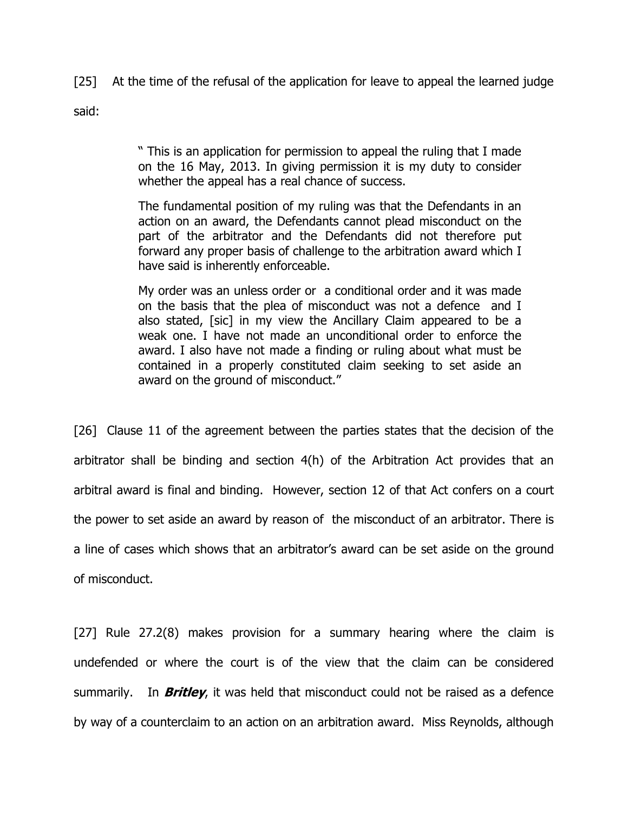[25] At the time of the refusal of the application for leave to appeal the learned judge

said:

" This is an application for permission to appeal the ruling that I made on the 16 May, 2013. In giving permission it is my duty to consider whether the appeal has a real chance of success.

The fundamental position of my ruling was that the Defendants in an action on an award, the Defendants cannot plead misconduct on the part of the arbitrator and the Defendants did not therefore put forward any proper basis of challenge to the arbitration award which I have said is inherently enforceable.

My order was an unless order or a conditional order and it was made on the basis that the plea of misconduct was not a defence and I also stated, [sic] in my view the Ancillary Claim appeared to be a weak one. I have not made an unconditional order to enforce the award. I also have not made a finding or ruling about what must be contained in a properly constituted claim seeking to set aside an award on the ground of misconduct."

[26] Clause 11 of the agreement between the parties states that the decision of the arbitrator shall be binding and section 4(h) of the Arbitration Act provides that an arbitral award is final and binding. However, section 12 of that Act confers on a court the power to set aside an award by reason of the misconduct of an arbitrator. There is a line of cases which shows that an arbitrator's award can be set aside on the ground of misconduct.

[27] Rule 27.2(8) makes provision for a summary hearing where the claim is undefended or where the court is of the view that the claim can be considered summarily. In **Britley**, it was held that misconduct could not be raised as a defence by way of a counterclaim to an action on an arbitration award. Miss Reynolds, although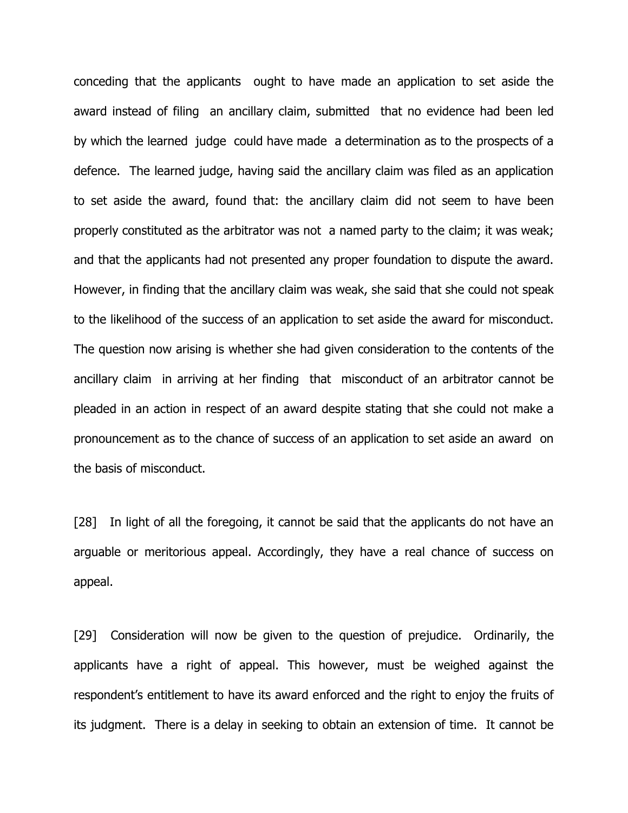conceding that the applicants ought to have made an application to set aside the award instead of filing an ancillary claim, submitted that no evidence had been led by which the learned judge could have made a determination as to the prospects of a defence. The learned judge, having said the ancillary claim was filed as an application to set aside the award, found that: the ancillary claim did not seem to have been properly constituted as the arbitrator was not a named party to the claim; it was weak; and that the applicants had not presented any proper foundation to dispute the award. However, in finding that the ancillary claim was weak, she said that she could not speak to the likelihood of the success of an application to set aside the award for misconduct. The question now arising is whether she had given consideration to the contents of the ancillary claim in arriving at her finding that misconduct of an arbitrator cannot be pleaded in an action in respect of an award despite stating that she could not make a pronouncement as to the chance of success of an application to set aside an award on the basis of misconduct.

[28] In light of all the foregoing, it cannot be said that the applicants do not have an arguable or meritorious appeal. Accordingly, they have a real chance of success on appeal.

[29] Consideration will now be given to the question of prejudice. Ordinarily, the applicants have a right of appeal. This however, must be weighed against the respondent's entitlement to have its award enforced and the right to enjoy the fruits of its judgment. There is a delay in seeking to obtain an extension of time. It cannot be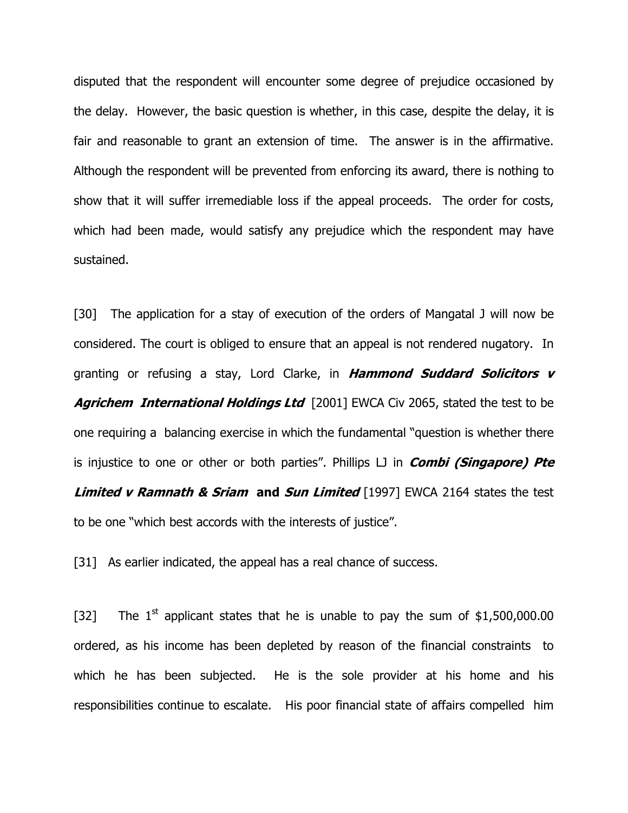disputed that the respondent will encounter some degree of prejudice occasioned by the delay. However, the basic question is whether, in this case, despite the delay, it is fair and reasonable to grant an extension of time. The answer is in the affirmative. Although the respondent will be prevented from enforcing its award, there is nothing to show that it will suffer irremediable loss if the appeal proceeds. The order for costs, which had been made, would satisfy any prejudice which the respondent may have sustained.

[30] The application for a stay of execution of the orders of Mangatal J will now be considered. The court is obliged to ensure that an appeal is not rendered nugatory. In granting or refusing a stay, Lord Clarke, in Hammond Suddard Solicitors v Agrichem International Holdings Ltd [2001] EWCA Civ 2065, stated the test to be one requiring a balancing exercise in which the fundamental "question is whether there is injustice to one or other or both parties". Phillips  $LJ$  in *Combi (Singapore) Pte* **Limited v Ramnath & Sriam and Sun Limited** [1997] EWCA 2164 states the test to be one "which best accords with the interests of justice".

[31] As earlier indicated, the appeal has a real chance of success.

[32] The  $1^{st}$  applicant states that he is unable to pay the sum of \$1,500,000.00 ordered, as his income has been depleted by reason of the financial constraints to which he has been subjected. He is the sole provider at his home and his responsibilities continue to escalate. His poor financial state of affairs compelled him